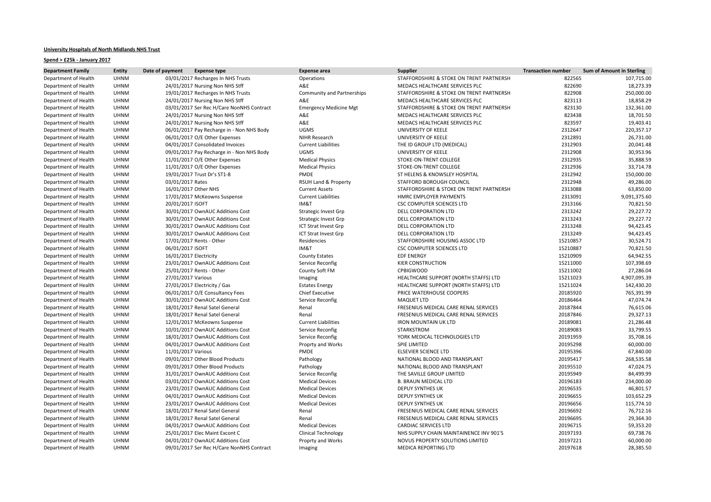## **University Hospitals of North Midlands NHS Trust**

## **Spend > £25k - January 2017**

| <b>Department Family</b> | <b>Entity</b> | Date of payment          | <b>Expense type</b>                       | <b>Expense area</b>               | <b>Supplier</b>             |                                          | <b>Transaction number</b> | <b>Sum of Amount in Sterling</b> |
|--------------------------|---------------|--------------------------|-------------------------------------------|-----------------------------------|-----------------------------|------------------------------------------|---------------------------|----------------------------------|
| Department of Health     | <b>UHNM</b>   |                          | 03/01/2017 Recharges In NHS Trusts        | Operations                        |                             | STAFFORDSHIRE & STOKE ON TRENT PARTNERSH | 822565                    | 107,715.00                       |
| Department of Health     | <b>UHNM</b>   |                          | 24/01/2017 Nursing Non NHS Stff           | A&E                               |                             | MEDACS HEALTHCARE SERVICES PLC           | 822690                    | 18,273.39                        |
| Department of Health     | <b>UHNM</b>   |                          | 19/01/2017 Recharges In NHS Trusts        | <b>Community and Partnerships</b> |                             | STAFFORDSHIRE & STOKE ON TRENT PARTNERSH | 822908                    | 250,000.00                       |
| Department of Health     | <b>UHNM</b>   |                          | 24/01/2017 Nursing Non NHS Stff           | A&E                               |                             | MEDACS HEALTHCARE SERVICES PLC           | 823113                    | 18,858.29                        |
| Department of Health     | <b>UHNM</b>   |                          | 03/01/2017 Ser Rec H/Care NonNHS Contract | <b>Emergency Medicine Mgt</b>     |                             | STAFFORDSHIRE & STOKE ON TRENT PARTNERSH | 823130                    | 132,361.00                       |
| Department of Health     | <b>UHNM</b>   |                          | 24/01/2017 Nursing Non NHS Stff           | A&E                               |                             | MEDACS HEALTHCARE SERVICES PLC           | 823438                    | 18,701.50                        |
| Department of Health     | <b>UHNM</b>   |                          | 24/01/2017 Nursing Non NHS Stff           | A&E                               |                             | MEDACS HEALTHCARE SERVICES PLC           | 823597                    | 19,403.41                        |
| Department of Health     | <b>UHNM</b>   |                          | 06/01/2017 Pay Recharge in - Non NHS Body | <b>UGMS</b>                       | UNIVERSITY OF KEELE         |                                          | 2312647                   | 220,357.17                       |
| Department of Health     | <b>UHNM</b>   |                          | 06/01/2017 O/E Other Expenses             | <b>NIHR Research</b>              | UNIVERSITY OF KEELE         |                                          | 2312891                   | 26,731.00                        |
| Department of Health     | <b>UHNM</b>   |                          | 04/01/2017 Consolidated Invoices          | <b>Current Liabilities</b>        |                             | THE ID GROUP LTD (MEDICAL)               | 2312903                   | 20,041.48                        |
| Department of Health     | <b>UHNM</b>   |                          | 09/01/2017 Pay Recharge in - Non NHS Body | <b>UGMS</b>                       | UNIVERSITY OF KEELE         |                                          | 2312908                   | 30,953.96                        |
| Department of Health     | <b>UHNM</b>   |                          | 11/01/2017 O/E Other Expenses             | <b>Medical Physics</b>            |                             | STOKE-ON-TRENT COLLEGE                   | 2312935                   | 35,888.59                        |
| Department of Health     | <b>UHNM</b>   |                          | 11/01/2017 O/E Other Expenses             | <b>Medical Physics</b>            |                             | STOKE-ON-TRENT COLLEGE                   | 2312936                   | 33,714.78                        |
| Department of Health     | <b>UHNM</b>   |                          | 19/01/2017 Trust Dr's ST1-8               | PMDE                              |                             | ST HELENS & KNOWSLEY HOSPITAL            | 2312942                   | 150.000.00                       |
| Department of Health     | <b>UHNM</b>   | 03/01/2017 Rates         |                                           | RSUH Land & Property              |                             | STAFFORD BOROUGH COUNCIL                 | 2312948                   | 49,286.00                        |
| Department of Health     | <b>UHNM</b>   | 16/01/2017 Other NHS     |                                           | <b>Current Assets</b>             |                             | STAFFORDSHIRE & STOKE ON TRENT PARTNERSH | 2313088                   | 63,850.00                        |
| Department of Health     | <b>UHNM</b>   |                          | 17/01/2017 McKeowns Suspense              | <b>Current Liabilities</b>        |                             | HMRC EMPLOYER PAYMENTS                   | 2313091                   | 9,091,375.60                     |
| Department of Health     | <b>UHNM</b>   | 20/01/2017 ISOFT         |                                           | IM&T                              |                             | CSC COMPUTER SCIENCES LTD                | 2313166                   | 70,821.50                        |
| Department of Health     | <b>UHNM</b>   |                          | 30/01/2017 OwnAUC Additions Cost          | <b>Strategic Invest Grp</b>       |                             | DELL CORPORATION LTD                     | 2313242                   | 29,227.72                        |
| Department of Health     | <b>UHNM</b>   |                          | 30/01/2017 OwnAUC Additions Cost          | <b>Strategic Invest Grp</b>       |                             | DELL CORPORATION LTD                     | 2313243                   | 29,227.72                        |
| Department of Health     | <b>UHNM</b>   |                          | 30/01/2017 OwnAUC Additions Cost          | <b>ICT Strat Invest Grp</b>       |                             | DELL CORPORATION LTD                     | 2313248                   | 94,423.45                        |
| Department of Health     | <b>UHNM</b>   |                          | 30/01/2017 OwnAUC Additions Cost          | ICT Strat Invest Grp              |                             | DELL CORPORATION LTD                     | 2313249                   | 94,423.45                        |
| Department of Health     | <b>UHNM</b>   | 17/01/2017 Rents - Other |                                           | Residencies                       |                             | STAFFORDSHIRE HOUSING ASSOC LTD          | 15210857                  | 30,524.71                        |
| Department of Health     | <b>UHNM</b>   | 06/01/2017 ISOFT         |                                           | IM&T                              |                             | <b>CSC COMPUTER SCIENCES LTD</b>         | 15210887                  | 70,821.50                        |
|                          |               |                          |                                           |                                   |                             |                                          |                           |                                  |
| Department of Health     | <b>UHNM</b>   | 16/01/2017 Electricity   |                                           | <b>County Estates</b>             | <b>EDF ENERGY</b>           |                                          | 15210909                  | 64,942.55                        |
| Department of Health     | <b>UHNM</b>   |                          | 23/01/2017 OwnAUC Additions Cost          | Service Reconfig                  | <b>KIER CONSTRUCTION</b>    |                                          | 15211000                  | 107,398.69                       |
| Department of Health     | <b>UHNM</b>   | 25/01/2017 Rents - Other |                                           | County Soft FM                    | <b>CPBIGWOOD</b>            |                                          | 15211002                  | 27,286.04                        |
| Department of Health     | <b>UHNM</b>   | 27/01/2017 Various       |                                           | Imaging                           |                             | HEALTHCARE SUPPORT (NORTH STAFFS) LTD    | 15211023                  | 4,907,095.39                     |
| Department of Health     | <b>UHNM</b>   |                          | 27/01/2017 Electricity / Gas              | <b>Estates Energy</b>             |                             | HEALTHCARE SUPPORT (NORTH STAFFS) LTD    | 15211024                  | 142,430.20                       |
| Department of Health     | <b>UHNM</b>   |                          | 06/01/2017 O/E Consultancy Fees           | <b>Chief Executive</b>            |                             | PRICE WATERHOUSE COOPERS                 | 20185920                  | 765,391.99                       |
| Department of Health     | <b>UHNM</b>   |                          | 30/01/2017 OwnAUC Additions Cost          | Service Reconfig                  | <b>MAQUET LTD</b>           |                                          | 20186464                  | 47.074.74                        |
| Department of Health     | <b>UHNM</b>   |                          | 18/01/2017 Renal Satel General            | Renal                             |                             | FRESENIUS MEDICAL CARE RENAL SERVICES    | 20187844                  | 76,615.06                        |
| Department of Health     | <b>UHNM</b>   |                          | 18/01/2017 Renal Satel General            | Renal                             |                             | FRESENIUS MEDICAL CARE RENAL SERVICES    | 20187846                  | 29.327.13                        |
| Department of Health     | <b>UHNM</b>   |                          | 12/01/2017 McKeowns Suspense              | <b>Current Liabilities</b>        |                             | <b>IRON MOUNTAIN UK LTD</b>              | 20189081                  | 21,286.48                        |
| Department of Health     | <b>UHNM</b>   |                          | 10/01/2017 OwnAUC Additions Cost          | Service Reconfig                  | STARKSTROM                  |                                          | 20189083                  | 33,799.55                        |
| Department of Health     | <b>UHNM</b>   |                          | 18/01/2017 OwnAUC Additions Cost          | Service Reconfig                  |                             | YORK MEDICAL TECHNOLOGIES LTD            | 20191959                  | 35,708.16                        |
| Department of Health     | <b>UHNM</b>   |                          | 04/01/2017 OwnAUC Additions Cost          | Proprty and Works                 | SPIE LIMITED                |                                          | 20195298                  | 60,000.00                        |
| Department of Health     | <b>UHNM</b>   | 11/01/2017 Various       |                                           | PMDE                              | <b>ELSEVIER SCIENCE LTD</b> |                                          | 20195396                  | 67,840.00                        |
| Department of Health     | <b>UHNM</b>   |                          | 09/01/2017 Other Blood Products           | Pathology                         |                             | NATIONAL BLOOD AND TRANSPLANT            | 20195417                  | 268,535.58                       |
| Department of Health     | <b>UHNM</b>   |                          | 09/01/2017 Other Blood Products           | Pathology                         |                             | NATIONAL BLOOD AND TRANSPLANT            | 20195510                  | 47,024.75                        |
| Department of Health     | <b>UHNM</b>   |                          | 31/01/2017 OwnAUC Additions Cost          | Service Reconfig                  |                             | THE SAVILLE GROUP LIMITED                | 20195949                  | 84,499.99                        |
| Department of Health     | <b>UHNM</b>   |                          | 03/01/2017 OwnAUC Additions Cost          | <b>Medical Devices</b>            |                             | <b>B. BRAUN MEDICAL LTD</b>              | 20196183                  | 234,000.00                       |
| Department of Health     | <b>UHNM</b>   |                          | 23/01/2017 OwnAUC Additions Cost          | <b>Medical Devices</b>            | <b>DEPUY SYNTHES UK</b>     |                                          | 20196535                  | 46,801.57                        |
| Department of Health     | <b>UHNM</b>   |                          | 04/01/2017 OwnAUC Additions Cost          | <b>Medical Devices</b>            | <b>DEPUY SYNTHES UK</b>     |                                          | 20196655                  | 103,652.29                       |
| Department of Health     | <b>UHNM</b>   |                          | 23/01/2017 OwnAUC Additions Cost          | <b>Medical Devices</b>            | <b>DEPUY SYNTHES UK</b>     |                                          | 20196656                  | 115,774.10                       |
| Department of Health     | <b>UHNM</b>   |                          | 18/01/2017 Renal Satel General            | Renal                             |                             | FRESENIUS MEDICAL CARE RENAL SERVICES    | 20196692                  | 76,712.16                        |
| Department of Health     | <b>UHNM</b>   |                          | 18/01/2017 Renal Satel General            | Renal                             |                             | FRESENIUS MEDICAL CARE RENAL SERVICES    | 20196695                  | 29,364.30                        |
| Department of Health     | <b>UHNM</b>   |                          | 04/01/2017 OwnAUC Additions Cost          | <b>Medical Devices</b>            |                             | <b>CARDIAC SERVICES LTD</b>              | 20196715                  | 59,353.20                        |
| Department of Health     | <b>UHNM</b>   |                          | 25/01/2017 Elec Maint Excont C            | <b>Clinical Technology</b>        |                             | NHS SUPPLY CHAIN MAINTAINENCE INV 901'S  | 20197193                  | 69,738.76                        |
| Department of Health     | <b>UHNM</b>   |                          | 04/01/2017 OwnAUC Additions Cost          | Proprty and Works                 |                             | NOVUS PROPERTY SOLUTIONS LIMITED         | 20197221                  | 60,000.00                        |
| Department of Health     | <b>UHNM</b>   |                          | 09/01/2017 Ser Rec H/Care NonNHS Contract | Imaging                           |                             | <b>MEDICA REPORTING LTD</b>              | 20197618                  | 28,385.50                        |
|                          |               |                          |                                           |                                   |                             |                                          |                           |                                  |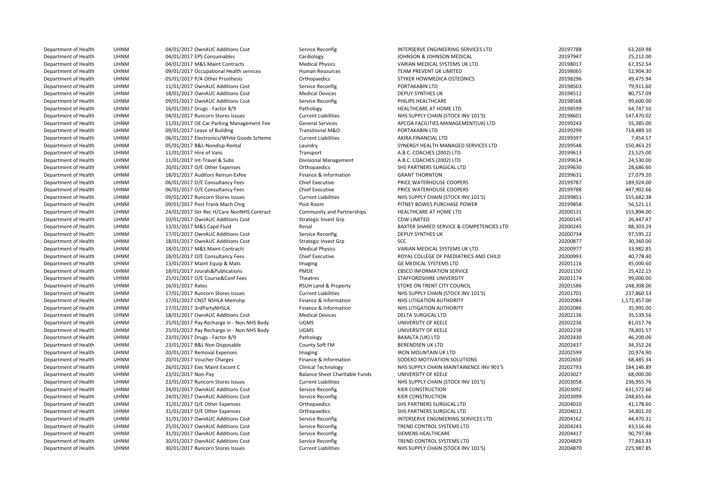Department of HealthDepartment of HealthDepartment of HealthDepartment of HealthDepartment of HealthDepartment of HealthDepartment of HealthDepartment of HealthDepartment of HealthDepartment of HealthDepartment of HealthDepartment of HealthDepartment of HealthDepartment of HealthDepartment of HealthDepartment of HealthDepartment of HealthDepartment of HealthDepartment of HealthDepartment of HealthDepartment of HealthDepartment of HealthDepartment of HealthDepartment of HealthDepartment of HealthDepartment of HealthDepartment of HealthDepartment of HealthDepartment of HealthDepartment of HealthDepartment of HealthDepartment of HealthDepartment of HealthDepartment of HealthDepartment of HealthDepartment of HealthDepartment of HealthDepartment of HealthDepartment of HealthDepartment of HealthDepartment of HealthDepartment of HealthDepartment of HealthDepartment of HealthDepartment of HealthDepartment of HealthDepartment of HealthDepartment of HealthDepartment of HealthDepartment of HealthDepartment of HealthDepartment of HealthDepartment of HealthDepartment of HealthDepartment of Health UHNM

UHNM

UHNM

UHNM

UHNM

UHNM

UHNM

UHNM

UHNM

UHNM

UHNM

UHNM

UHNM

UHNM

UHNM

UHNM

UHNM

UHNM

UHNM

UHNM

UHNM

UHNM

UHNM

UHNM

UHNM

UHNM

UHNM

UHNM

UHNM

UHNM

UHNM

UHNM

UHNM

UHNM

UHNM

UHNM

UHNM

UHNM

UHNM

UHNM

UHNM

UHNM

UHNM

UHNM

UHNM

UHNM

UHNM

UHNM

UHNM

UHNM

UHNM

UHNM

UHNM

UHNM

UHNM

| M      | 04/01/2017 OwnAUC Additions Cost          | Service Reconfig                      | INTERSERVE ENGINEERING SERVICES LTD      | 20197788 | 63,269.98    |
|--------|-------------------------------------------|---------------------------------------|------------------------------------------|----------|--------------|
| M      | 04/01/2017 EPS Consumables                | Cardiology                            | JOHNSON & JOHNSON MEDICAL                | 20197947 | 25,212.00    |
| M      | 04/01/2017 M&S Maint Contracts            | <b>Medical Physics</b>                | VARIAN MEDICAL SYSTEMS UK LTD.           | 20198017 | 67,352.54    |
| М      | 09/01/2017 Occupational Health services   | <b>Human Resources</b>                | TEAM PREVENT UK LIMITED                  | 20198065 | 52,904.30    |
| M      | 05/01/2017 P/A Other Prosthesis           | Orthopaedics                          | STYKER HOWMEDICA OSTEONICS               | 20198296 | 49,475.94    |
| M      | 11/01/2017 OwnAUC Additions Cost          | Service Reconfig                      | PORTAKABIN LTD                           | 20198503 | 79,911.60    |
| М      | 18/01/2017 OwnAUC Additions Cost          | <b>Medical Devices</b>                | <b>DEPUY SYNTHES UK</b>                  | 20198512 | 80,757.09    |
| М      | 09/01/2017 OwnAUC Additions Cost          | Service Reconfig                      | PHILIPS HEALTHCARE                       | 20198568 | 99,600.00    |
| М      | 16/01/2017 Drugs - Factor 8/9             | Pathology                             | HEALTHCARE AT HOME LTD                   | 20198599 | 64,747.50    |
| M      |                                           | <b>Current Liabilities</b>            |                                          | 20198601 | 147,470.02   |
|        | 04/01/2017 Runcorn Stores Issues          |                                       | NHS SUPPLY CHAIN (STOCK INV 101'S)       |          |              |
| М      | 11/01/2017 OE Car Parking Management Fee  | <b>General Services</b>               | APCOA FACILITIES MANAGEMENT(UK) LTD      | 20199243 | 55,385.00    |
| М      | 09/01/2017 Lease of Building              | Transitional M&O                      | PORTAKABIN LTD                           | 20199299 | 718,489.10   |
| M      | 06/01/2017 Electronics/White Goods Scheme | <b>Current Liabilities</b>            | AKIRA FINANCIAL LTD                      | 20199397 | 7,454.57     |
| М      | 05/01/2017 B&L-Nondisp-Rental             | Laundry                               | SYNERGY HEALTH MANAGED SERVICES LTD      | 20199548 | 150,463.25   |
| М      | 11/01/2017 Hire of Vans                   | Transport                             | A.B.C. COACHES (2002) LTD                | 20199613 | 23,525.00    |
| M      | 11/01/2017 Int-Travel & Subs              | Divisional Management                 | A.B.C. COACHES (2002) LTD                | 20199614 | 24,530.00    |
| М      | 20/01/2017 O/E Other Expenses             | Orthopaedics                          | SHS PARTNERS SURGICAL LTD                | 20199630 | 28,686.60    |
| М      | 18/01/2017 Auditors Remun-Exfee           | Finance & Information                 | <b>GRANT THORNTON</b>                    | 20199631 | 27,079.20    |
| M      | 06/01/2017 O/E Consultancy Fees           | Chief Executive                       | PRICE WATERHOUSE COOPERS                 | 20199787 | 189,924.00   |
| M      | 06/01/2017 O/E Consultancy Fees           | <b>Chief Executive</b>                | PRICE WATERHOUSE COOPERS                 | 20199788 | 447,902.66   |
| М      | 09/01/2017 Runcorn Stores Issues          | <b>Current Liabilities</b>            | NHS SUPPLY CHAIN (STOCK INV 101'S)       | 20199851 | 155,682.38   |
| М      | 09/01/2017 Post Frank Mach Chrg           | Post Room                             | PITNEY BOWES PURCHASE POWER              | 20199858 | 56,521.11    |
| М      | 24/01/2017 Ser Rec H/Care NonNHS Contract | Community and Partnerships            | HEALTHCARE AT HOME LTD                   | 20200131 | 155,894.00   |
| М      | 10/01/2017 OwnAUC Additions Cost          | Strategic Invest Grp                  | <b>CDW LIMITED</b>                       | 20200145 | 26,447.47    |
| М      | 13/01/2017 M&S Capd Fluid                 | Renal                                 | BAXTER SHARED SERVICE & COMPETENCIES LTD | 20200245 | 88,303.29    |
| М      | 17/01/2017 OwnAUC Additions Cost          | Service Reconfig                      | <b>DEPUY SYNTHES UK</b>                  | 20200734 | 97,595.22    |
| M      | 18/01/2017 OwnAUC Additions Cost          | Strategic Invest Grp                  | <b>SCC</b>                               | 20200877 | 30,360.00    |
| М      | 18/01/2017 M&S Maint Contracts            | <b>Medical Physics</b>                | VARIAN MEDICAL SYSTEMS UK LTD.           | 20200977 | 33,982.85    |
| М      | 18/01/2017 O/E Consultancy Fees           | Chief Executive                       | ROYAL COLLEGE OF PAEDIATRICS AND CHILD   | 20200993 | 40,778.40    |
| M      | 13/01/2017 Maint Equip & Mats             | Imaging                               | GE MEDICAL SYSTEMS LTD                   | 20201116 | 45,000.60    |
| М      | 18/01/2017 Jourals&Publications           | PMDE                                  | <b>EBSCO INFORMATION SERVICE</b>         | 20201150 | 25,422.15    |
| M      | 25/01/2017 O/E Course&Conf Fees           | Theatres                              | STAFFORDSHIRE UNIVERSITY                 | 20201174 | 99,000.00    |
| M      | 16/01/2017 Rates                          | RSUH Land & Property                  | STOKE ON TRENT CITY COUNCIL              | 20201586 | 248,308.00   |
|        | 17/01/2017 Runcorn Stores Issues          | <b>Current Liabilities</b>            | NHS SUPPLY CHAIN (STOCK INV 101'S)       | 20201701 | 237,860.53   |
| М<br>M |                                           |                                       |                                          | 20202084 |              |
|        | 17/01/2017 CNST NSHLA Memshp              | Finance & Information                 | NHS LITIGATION AUTHORITY                 |          | 1,572,457.00 |
| M      | 17/01/2017 3rdPartyNHSLA                  | Finance & Information                 | NHS LITIGATION AUTHORITY                 | 20202086 | 35,995.00    |
| М      | 18/01/2017 OwnAUC Additions Cost          | <b>Medical Devices</b>                | DELTA SURGICAL LTD                       | 20202136 | 35,539.56    |
| М      | 25/01/2017 Pay Recharge in - Non NHS Body | <b>UGMS</b>                           | UNIVERSITY OF KEELE                      | 20202236 | 81,017.76    |
| M      | 25/01/2017 Pay Recharge in - Non NHS Body | <b>UGMS</b>                           | UNIVERSITY OF KEELE                      | 20202238 | 78,801.57    |
| М      | 23/01/2017 Drugs - Factor 8/9             | Pathology                             | BAXALTA (UK) LTD                         | 20202430 | 46,200.00    |
| M      | 23/01/2017 B&L Non Disposable             | County Soft FM                        | BERENDSEN UK LTD                         | 20202437 | 34,352.26    |
| М      | 20/01/2017 Removal Expenses               | Imaging                               | <b>IRON MOUNTAIN UK LTD</b>              | 20202599 | 20,974.90    |
| М      | 20/01/2017 Voucher Charges                | Finance & Information                 | SODEXO MOTIVATION SOLUTIONS              | 20202650 | 68,485.34    |
| М      | 26/01/2017 Elec Maint Excont C            | <b>Clinical Technology</b>            | NHS SUPPLY CHAIN MAINTAINENCE INV 901'S  | 20202793 | 184,146.89   |
| M      | 23/01/2017 Non-Pay                        | <b>Balance Sheet Charitable Funds</b> | UNIVERSITY OF KEELE                      | 20203027 | 68,000.00    |
| М      | 23/01/2017 Runcorn Stores Issues          | <b>Current Liabilities</b>            | NHS SUPPLY CHAIN (STOCK INV 101'S)       | 20203058 | 236,955.76   |
| М      | 24/01/2017 OwnAUC Additions Cost          | Service Reconfig                      | <b>KIER CONSTRUCTION</b>                 | 20203092 | 631,572.60   |
| M      | 24/01/2017 OwnAUC Additions Cost          | Service Reconfig                      | <b>KIER CONSTRUCTION</b>                 | 20203099 | 248,655.66   |
| M      | 31/01/2017 O/E Other Expenses             | Orthopaedics                          | SHS PARTNERS SURGICAL LTD                | 20204010 | 41,178.60    |
| M      | 31/01/2017 O/E Other Expenses             | Orthopaedics                          | SHS PARTNERS SURGICAL LTD                | 20204012 | 34,801.20    |
| M      | 31/01/2017 OwnAUC Additions Cost          | Service Reconfig                      | INTERSERVE ENGINEERING SERVICES LTD      | 20204162 | 44,470.31    |
| M      | 25/01/2017 OwnAUC Additions Cost          | Service Reconfig                      | TREND CONTROL SYSTEMS LTD                | 20204243 | 43,516.46    |
| М      | 31/01/2017 OwnAUC Additions Cost          | Service Reconfig                      | SIEMENS HEALTHCARE                       | 20204417 | 90,797.88    |
| М      | 30/01/2017 OwnAUC Additions Cost          | Service Reconfig                      | TREND CONTROL SYSTEMS LTD                | 20204829 | 77,863.33    |
| M      | 30/01/2017 Runcorn Stores Issues          | <b>Current Liabilities</b>            | NHS SUPPLY CHAIN (STOCK INV 101'S)       | 20204870 | 225,987.85   |
|        |                                           |                                       |                                          |          |              |